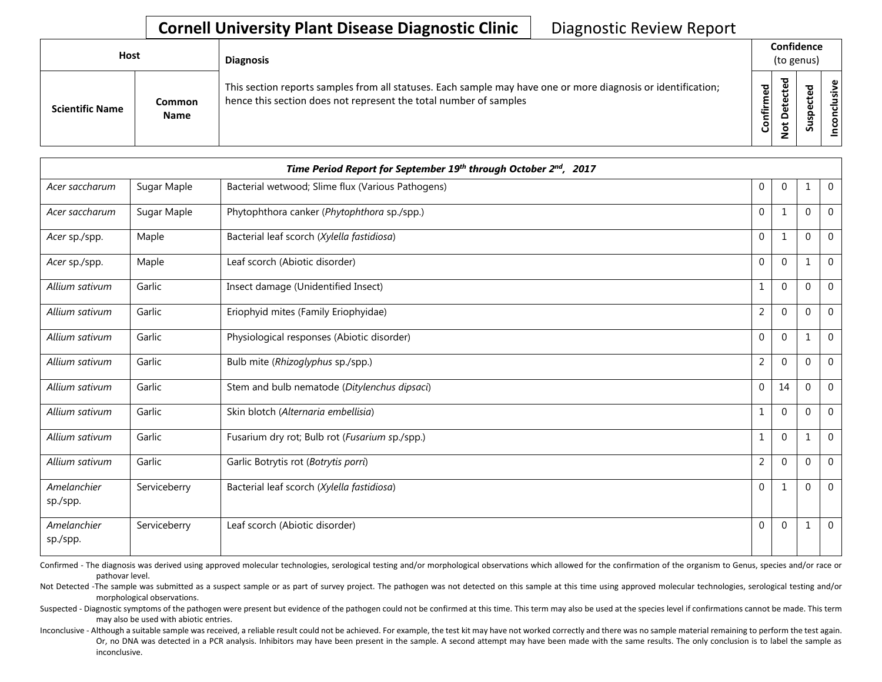| <b>Host</b>            |                       | <b>Diagnosis</b>                                                                                                                                                                   |           |                       | Confidence<br>(to genus) |                 |
|------------------------|-----------------------|------------------------------------------------------------------------------------------------------------------------------------------------------------------------------------|-----------|-----------------------|--------------------------|-----------------|
| <b>Scientific Name</b> | Common<br><b>Name</b> | This section reports samples from all statuses. Each sample may have one or more diagnosis or identification;<br>hence this section does not represent the total number of samples | Confirmed | ᇃ<br>Δ<br>پ<br>⇁<br>ے | ശ                        | ω<br>usiv<br>᠊ᠣ |

|                         |              | Time Period Report for September 19th through October 2nd, 2017 |                |              |          |                |
|-------------------------|--------------|-----------------------------------------------------------------|----------------|--------------|----------|----------------|
| Acer saccharum          | Sugar Maple  | Bacterial wetwood; Slime flux (Various Pathogens)               | $\mathbf{0}$   | $\mathbf 0$  | 1        | $\overline{0}$ |
| Acer saccharum          | Sugar Maple  | Phytophthora canker (Phytophthora sp./spp.)                     | $\Omega$       | 1            | $\Omega$ | $\overline{0}$ |
| Acer sp./spp.           | Maple        | Bacterial leaf scorch (Xylella fastidiosa)                      | $\Omega$       | $\mathbf{1}$ | $\Omega$ | $\overline{0}$ |
| Acer sp./spp.           | Maple        | Leaf scorch (Abiotic disorder)                                  | $\Omega$       | $\mathbf{0}$ | 1        | $\overline{0}$ |
| Allium sativum          | Garlic       | Insect damage (Unidentified Insect)                             | $\mathbf{1}$   | $\Omega$     | $\Omega$ | $\overline{0}$ |
| Allium sativum          | Garlic       | Eriophyid mites (Family Eriophyidae)                            | $\overline{2}$ | $\mathbf{0}$ | $\Omega$ | $\overline{0}$ |
| Allium sativum          | Garlic       | Physiological responses (Abiotic disorder)                      | $\Omega$       | $\Omega$     | 1        | $\overline{0}$ |
| Allium sativum          | Garlic       | Bulb mite (Rhizoglyphus sp./spp.)                               | $\overline{2}$ | $\mathbf{0}$ | $\Omega$ | $\overline{0}$ |
| Allium sativum          | Garlic       | Stem and bulb nematode (Ditylenchus dipsaci)                    | $\Omega$       | 14           | $\Omega$ | $\mathbf 0$    |
| Allium sativum          | Garlic       | Skin blotch (Alternaria embellisia)                             | $\mathbf{1}$   | $\Omega$     | $\Omega$ | $\overline{0}$ |
| Allium sativum          | Garlic       | Fusarium dry rot; Bulb rot (Fusarium sp./spp.)                  | $\mathbf{1}$   | $\mathbf{0}$ | 1        | $\Omega$       |
| Allium sativum          | Garlic       | Garlic Botrytis rot (Botrytis porri)                            | $\overline{2}$ | $\mathbf{0}$ | $\Omega$ | $\overline{0}$ |
| Amelanchier<br>sp./spp. | Serviceberry | Bacterial leaf scorch (Xylella fastidiosa)                      | $\mathbf{0}$   | 1            | $\Omega$ | $\overline{0}$ |
| Amelanchier<br>sp./spp. | Serviceberry | Leaf scorch (Abiotic disorder)                                  | $\mathbf{0}$   | $\mathbf 0$  | 1        | $\overline{0}$ |

Confirmed - The diagnosis was derived using approved molecular technologies, serological testing and/or morphological observations which allowed for the confirmation of the organism to Genus, species and/or race or pathovar level.

Not Detected -The sample was submitted as a suspect sample or as part of survey project. The pathogen was not detected on this sample at this time using approved molecular technologies, serological testing and/or morphological observations.

Suspected - Diagnostic symptoms of the pathogen were present but evidence of the pathogen could not be confirmed at this time. This term may also be used at the species level if confirmations cannot be made. This term may also be used with abiotic entries.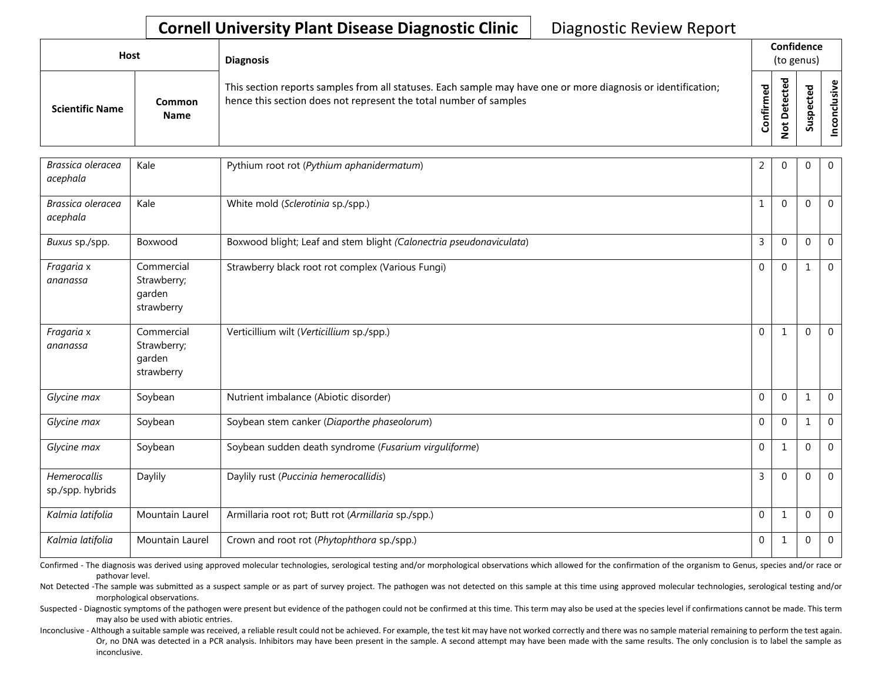| Host                   |                       | <b>Diagnosis</b>                                                                                                                                                                   |                  |                                           | Confidence<br>(to genus)                  |                            |
|------------------------|-----------------------|------------------------------------------------------------------------------------------------------------------------------------------------------------------------------------|------------------|-------------------------------------------|-------------------------------------------|----------------------------|
| <b>Scientific Name</b> | Common<br><b>Name</b> | This section reports samples from all statuses. Each sample may have one or more diagnosis or identification;<br>hence this section does not represent the total number of samples | 명<br>⋤<br>0<br>ပ | ठ<br>Φ<br>ں<br>Φ<br>ى<br>۵<br>ى<br>Ō<br>- | ਠ<br>$\mathbf \omega$<br>ں<br>ω<br>요<br>s | $\mathbf \omega$<br>ທ<br>Ō |

| Brassica oleracea<br>acephala    | Kale                                              | Pythium root rot (Pythium aphanidermatum)                           | 2            | $\Omega$     | 0            | $\overline{0}$ |
|----------------------------------|---------------------------------------------------|---------------------------------------------------------------------|--------------|--------------|--------------|----------------|
| Brassica oleracea<br>acephala    | Kale                                              | White mold (Sclerotinia sp./spp.)                                   | 1            | $\Omega$     | $\Omega$     | $\mathbf 0$    |
| Buxus sp./spp.                   | Boxwood                                           | Boxwood blight; Leaf and stem blight (Calonectria pseudonaviculata) | $\mathsf{3}$ | $\Omega$     | $\mathbf{0}$ | $\overline{0}$ |
| Fragaria x<br>ananassa           | Commercial<br>Strawberry;<br>garden<br>strawberry | Strawberry black root rot complex (Various Fungi)                   | $\mathbf{0}$ | $\Omega$     |              | $\mathbf 0$    |
| Fragaria x<br>ananassa           | Commercial<br>Strawberry;<br>garden<br>strawberry | Verticillium wilt (Verticillium sp./spp.)                           | $\mathbf{0}$ | $\mathbf{1}$ | $\mathbf 0$  | $\mathbf 0$    |
| Glycine max                      | Soybean                                           | Nutrient imbalance (Abiotic disorder)                               | $\mathbf 0$  | $\mathbf{0}$ | $\mathbf 1$  | $\mathbf 0$    |
| Glycine max                      | Soybean                                           | Soybean stem canker (Diaporthe phaseolorum)                         | $\Omega$     | $\theta$     | $\mathbf{1}$ | $\overline{0}$ |
| Glycine max                      | Soybean                                           | Soybean sudden death syndrome (Fusarium virguliforme)               | $\mathbf{0}$ | 1            | $\mathbf{0}$ | $\mathbf 0$    |
| Hemerocallis<br>sp./spp. hybrids | Daylily                                           | Daylily rust (Puccinia hemerocallidis)                              | 3            | $\Omega$     | 0            | $\overline{0}$ |
| Kalmia latifolia                 | Mountain Laurel                                   | Armillaria root rot; Butt rot (Armillaria sp./spp.)                 | $\mathbf 0$  | $\mathbf{1}$ | $\Omega$     | $\mathbf{0}$   |
| Kalmia latifolia                 | <b>Mountain Laurel</b>                            | Crown and root rot (Phytophthora sp./spp.)                          | $\mathbf 0$  | $\mathbf{1}$ | 0            | $\overline{0}$ |

Confirmed - The diagnosis was derived using approved molecular technologies, serological testing and/or morphological observations which allowed for the confirmation of the organism to Genus, species and/or race or pathovar level.

Not Detected -The sample was submitted as a suspect sample or as part of survey project. The pathogen was not detected on this sample at this time using approved molecular technologies, serological testing and/or morphological observations.

Suspected - Diagnostic symptoms of the pathogen were present but evidence of the pathogen could not be confirmed at this time. This term may also be used at the species level if confirmations cannot be made. This term may also be used with abiotic entries.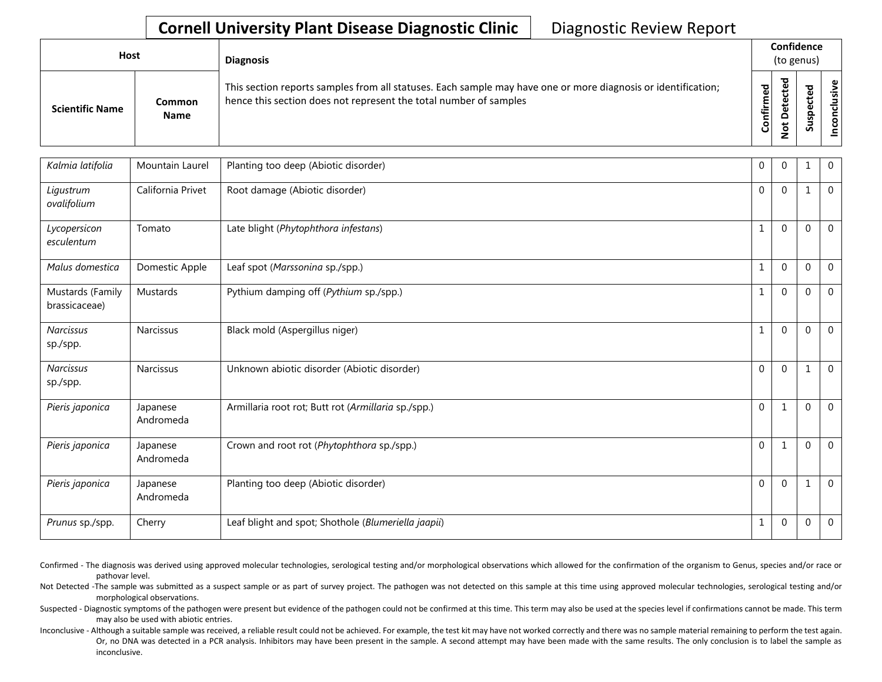| Host                   |                              | <b>Diagnosis</b>                                                                                                                                                                   |               |               | Confidence<br>(to genus) |                      |
|------------------------|------------------------------|------------------------------------------------------------------------------------------------------------------------------------------------------------------------------------|---------------|---------------|--------------------------|----------------------|
| <b>Scientific Name</b> | <b>Common</b><br><b>Name</b> | This section reports samples from all statuses. Each sample may have one or more diagnosis or identification;<br>hence this section does not represent the total number of samples | 59<br>Confirm | ъ<br>$\Omega$ | ω<br>ω<br>요<br>s<br>Ō    | စ္၊<br>$\frac{2}{5}$ |

| Kalmia latifolia                  | Mountain Laurel       | Planting too deep (Abiotic disorder)                | 0            | $\Omega$     |              | $\mathbf 0$    |
|-----------------------------------|-----------------------|-----------------------------------------------------|--------------|--------------|--------------|----------------|
| Ligustrum<br>ovalifolium          | California Privet     | Root damage (Abiotic disorder)                      | $\mathbf 0$  | $\theta$     |              | $\mathbf 0$    |
| Lycopersicon<br>esculentum        | Tomato                | Late blight (Phytophthora infestans)                | $\mathbf{1}$ | $\Omega$     | 0            | $\mathbf 0$    |
| Malus domestica                   | Domestic Apple        | Leaf spot (Marssonina sp./spp.)                     | $\mathbf{1}$ | $\Omega$     | $\Omega$     | $\overline{0}$ |
| Mustards (Family<br>brassicaceae) | Mustards              | Pythium damping off (Pythium sp./spp.)              | $\mathbf{1}$ | 0            | $\Omega$     | $\mathbf 0$    |
| <b>Narcissus</b><br>sp./spp.      | Narcissus             | Black mold (Aspergillus niger)                      | $\mathbf{1}$ | $\Omega$     | $\Omega$     | $\Omega$       |
| <b>Narcissus</b><br>sp./spp.      | <b>Narcissus</b>      | Unknown abiotic disorder (Abiotic disorder)         | $\mathbf 0$  | $\Omega$     | $\mathbf{1}$ | $\mathbf 0$    |
| Pieris japonica                   | Japanese<br>Andromeda | Armillaria root rot; Butt rot (Armillaria sp./spp.) | $\Omega$     | $\mathbf{1}$ | $\Omega$     | $\Omega$       |
| Pieris japonica                   | Japanese<br>Andromeda | Crown and root rot (Phytophthora sp./spp.)          | $\mathbf 0$  | $\mathbf{1}$ | $\Omega$     | $\mathbf 0$    |
| Pieris japonica                   | Japanese<br>Andromeda | Planting too deep (Abiotic disorder)                | $\mathbf 0$  | 0            |              | $\overline{0}$ |
| Prunus sp./spp.                   | Cherry                | Leaf blight and spot; Shothole (Blumeriella jaapii) | $\mathbf{1}$ | $\theta$     | 0            | $\mathbf 0$    |

Confirmed - The diagnosis was derived using approved molecular technologies, serological testing and/or morphological observations which allowed for the confirmation of the organism to Genus, species and/or race or pathovar level.

Not Detected -The sample was submitted as a suspect sample or as part of survey project. The pathogen was not detected on this sample at this time using approved molecular technologies, serological testing and/or morphological observations.

Suspected - Diagnostic symptoms of the pathogen were present but evidence of the pathogen could not be confirmed at this time. This term may also be used at the species level if confirmations cannot be made. This term may also be used with abiotic entries.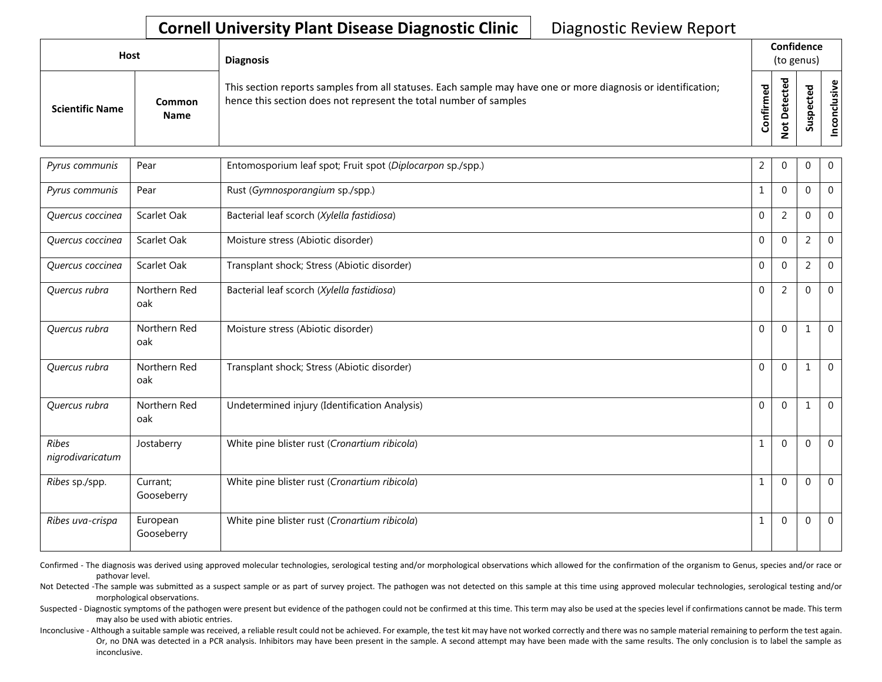| <b>Host</b>            |                       | <b>Diagnosis</b>                                                                                                                                                                   |               |                    | Confidence<br>(to genus)        |                     |
|------------------------|-----------------------|------------------------------------------------------------------------------------------------------------------------------------------------------------------------------------|---------------|--------------------|---------------------------------|---------------------|
| <b>Scientific Name</b> | Common<br><b>Name</b> | This section reports samples from all statuses. Each sample may have one or more diagnosis or identification;<br>hence this section does not represent the total number of samples | ъ<br>Confirme | ъ<br>$\Omega$<br>پ | ъ<br>Φ<br>∸<br>ω<br>௨<br>s<br>Ū | $\frac{1}{2}$<br>ی: |

| Pyrus communis                   | Pear                   | Entomosporium leaf spot; Fruit spot (Diplocarpon sp./spp.) | 2            | $\Omega$       | $\mathbf{0}$   | $\overline{0}$ |
|----------------------------------|------------------------|------------------------------------------------------------|--------------|----------------|----------------|----------------|
| Pyrus communis                   | Pear                   | Rust (Gymnosporangium sp./spp.)                            | $\mathbf{1}$ | $\Omega$       | $\mathbf 0$    | $\overline{0}$ |
| Quercus coccinea                 | Scarlet Oak            | Bacterial leaf scorch (Xylella fastidiosa)                 | $\Omega$     | 2              | $\mathbf{0}$   | $\overline{0}$ |
| Quercus coccinea                 | Scarlet Oak            | Moisture stress (Abiotic disorder)                         | $\Omega$     | $\Omega$       | 2              | $\overline{0}$ |
| Quercus coccinea                 | Scarlet Oak            | Transplant shock; Stress (Abiotic disorder)                | $\mathbf{0}$ | $\Omega$       | $\overline{2}$ | $\overline{0}$ |
| Quercus rubra                    | Northern Red<br>oak    | Bacterial leaf scorch (Xylella fastidiosa)                 | $\Omega$     | $\overline{2}$ | $\mathbf{0}$   | $\mathbf 0$    |
| Quercus rubra                    | Northern Red<br>oak    | Moisture stress (Abiotic disorder)                         | $\Omega$     | $\Omega$       | 1              | $\overline{0}$ |
| Quercus rubra                    | Northern Red<br>oak    | Transplant shock; Stress (Abiotic disorder)                | $\Omega$     | $\Omega$       | $\mathbf{1}$   | $\overline{0}$ |
| Quercus rubra                    | Northern Red<br>oak    | Undetermined injury (Identification Analysis)              | $\Omega$     | $\mathbf{0}$   | $\mathbf{1}$   | $\Omega$       |
| <b>Ribes</b><br>nigrodivaricatum | Jostaberry             | White pine blister rust (Cronartium ribicola)              | $\mathbf{1}$ | $\Omega$       | $\Omega$       | $\overline{0}$ |
| Ribes sp./spp.                   | Currant;<br>Gooseberry | White pine blister rust (Cronartium ribicola)              | $\mathbf{1}$ | $\Omega$       | $\mathbf{0}$   | $\overline{0}$ |
| Ribes uva-crispa                 | European<br>Gooseberry | White pine blister rust (Cronartium ribicola)              | $\mathbf{1}$ | $\mathbf 0$    | $\mathbf{0}$   | $\overline{0}$ |

Confirmed - The diagnosis was derived using approved molecular technologies, serological testing and/or morphological observations which allowed for the confirmation of the organism to Genus, species and/or race or pathovar level.

Not Detected -The sample was submitted as a suspect sample or as part of survey project. The pathogen was not detected on this sample at this time using approved molecular technologies, serological testing and/or morphological observations.

Suspected - Diagnostic symptoms of the pathogen were present but evidence of the pathogen could not be confirmed at this time. This term may also be used at the species level if confirmations cannot be made. This term may also be used with abiotic entries.